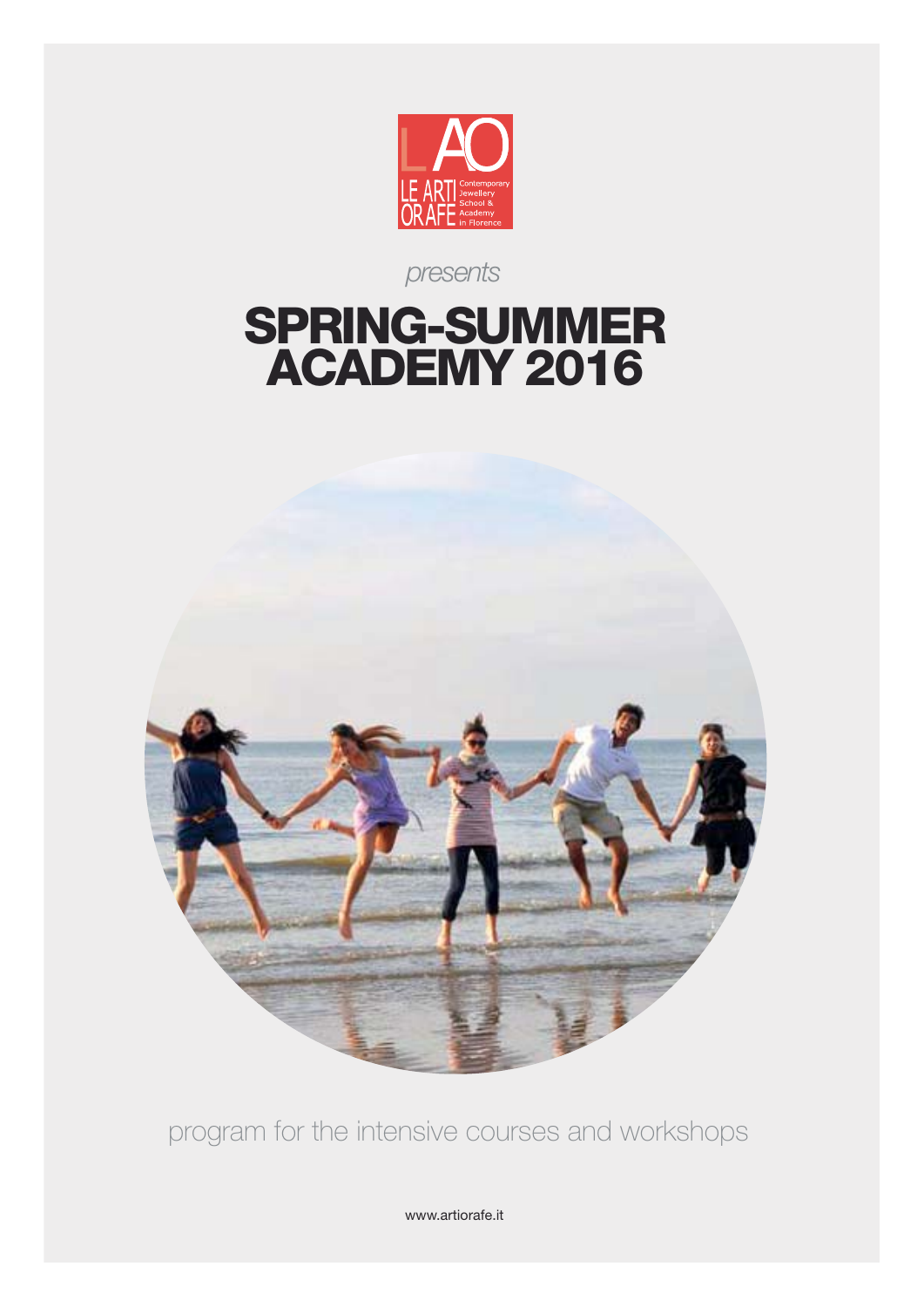

*presents*

## **SPRING-SUMMER ACADEMY 2016**



program for the intensive courses and workshops

www.artiorafe.it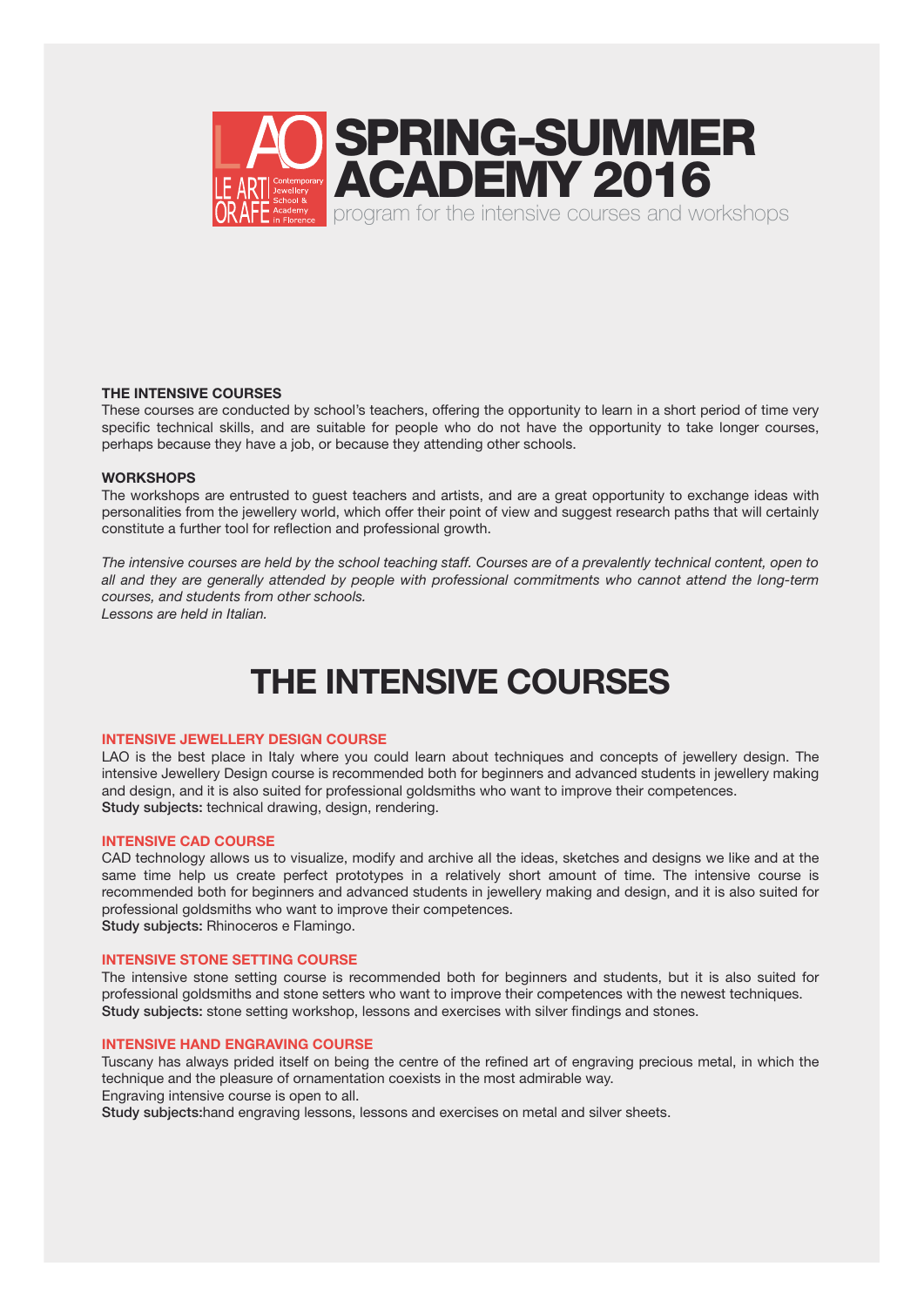

#### **THE INTENSIVE COURSES**

These courses are conducted by school's teachers, offering the opportunity to learn in a short period of time very specific technical skills, and are suitable for people who do not have the opportunity to take longer courses, perhaps because they have a job, or because they attending other schools.

#### **WORKSHOPS**

The workshops are entrusted to guest teachers and artists, and are a great opportunity to exchange ideas with personalities from the jewellery world, which offer their point of view and suggest research paths that will certainly constitute a further tool for reflection and professional growth.

*The intensive courses are held by the school teaching staff. Courses are of a prevalently technical content, open to all and they are generally attended by people with professional commitments who cannot attend the long-term courses, and students from other schools. Lessons are held in Italian.*

**THE INTENSIVE COURSES**

#### **INTENSIVE JEWELLERY DESIGN COURSE**

LAO is the best place in Italy where you could learn about techniques and concepts of jewellery design. The intensive Jewellery Design course is recommended both for beginners and advanced students in jewellery making and design, and it is also suited for professional goldsmiths who want to improve their competences. **Study subjects:** technical drawing, design, rendering.

#### **INTENSIVE CAD COURSE**

CAD technology allows us to visualize, modify and archive all the ideas, sketches and designs we like and at the same time help us create perfect prototypes in a relatively short amount of time. The intensive course is recommended both for beginners and advanced students in jewellery making and design, and it is also suited for professional goldsmiths who want to improve their competences. **Study subjects:** Rhinoceros e Flamingo.

#### **INTENSIVE STONE SETTING COURSE**

The intensive stone setting course is recommended both for beginners and students, but it is also suited for professional goldsmiths and stone setters who want to improve their competences with the newest techniques. **Study subjects:** stone setting workshop, lessons and exercises with silver findings and stones.

#### **INTENSIVE HAND ENGRAVING COURSE**

Tuscany has always prided itself on being the centre of the refined art of engraving precious metal, in which the technique and the pleasure of ornamentation coexists in the most admirable way.

Engraving intensive course is open to all.

**Study subjects:**hand engraving lessons, lessons and exercises on metal and silver sheets.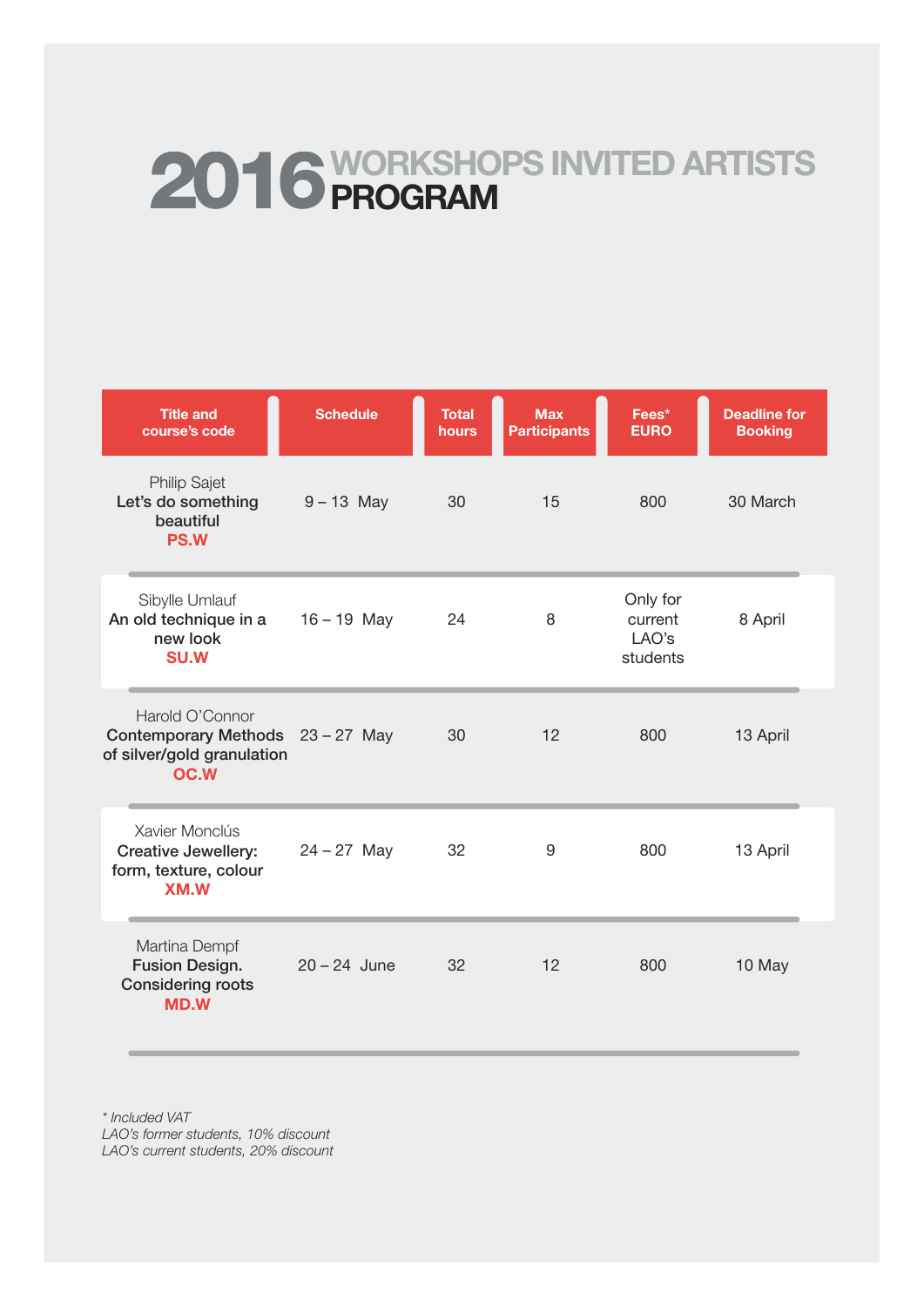# **2016WORKSHOPS INVITED ARTISTS PROGRAM**

| <b>Title and</b><br>course's code                                                         | <b>Schedule</b> | <b>Total</b><br>hours | <b>Max</b><br><b>Participants</b> | Fees*<br><b>EURO</b>                     | <b>Deadline for</b><br><b>Booking</b> |
|-------------------------------------------------------------------------------------------|-----------------|-----------------------|-----------------------------------|------------------------------------------|---------------------------------------|
| <b>Philip Sajet</b><br>Let's do something<br>beautiful<br><b>PS.W</b>                     | $9 - 13$ May    | 30                    | 15                                | 800                                      | 30 March                              |
| Sibylle Umlauf<br>An old technique in a<br>new look<br><b>SU.W</b>                        | $16 - 19$ May   | 24                    | 8                                 | Only for<br>current<br>LAO's<br>students | 8 April                               |
| Harold O'Connor<br>Contemporary Methods 23 - 27 May<br>of silver/gold granulation<br>OC.W |                 | 30                    | 12                                | 800                                      | 13 April                              |
| Xavier Monclús<br><b>Creative Jewellery:</b><br>form, texture, colour<br><b>XM.W</b>      | $24 - 27$ May   | 32                    | 9                                 | 800                                      | 13 April                              |
| Martina Dempf<br><b>Fusion Design.</b><br><b>Considering roots</b><br><b>MD.W</b>         | $20 - 24$ June  | 32                    | 12                                | 800                                      | 10 May                                |

*\* Included VAT LAO's former students, 10% discount LAO's current students, 20% discount*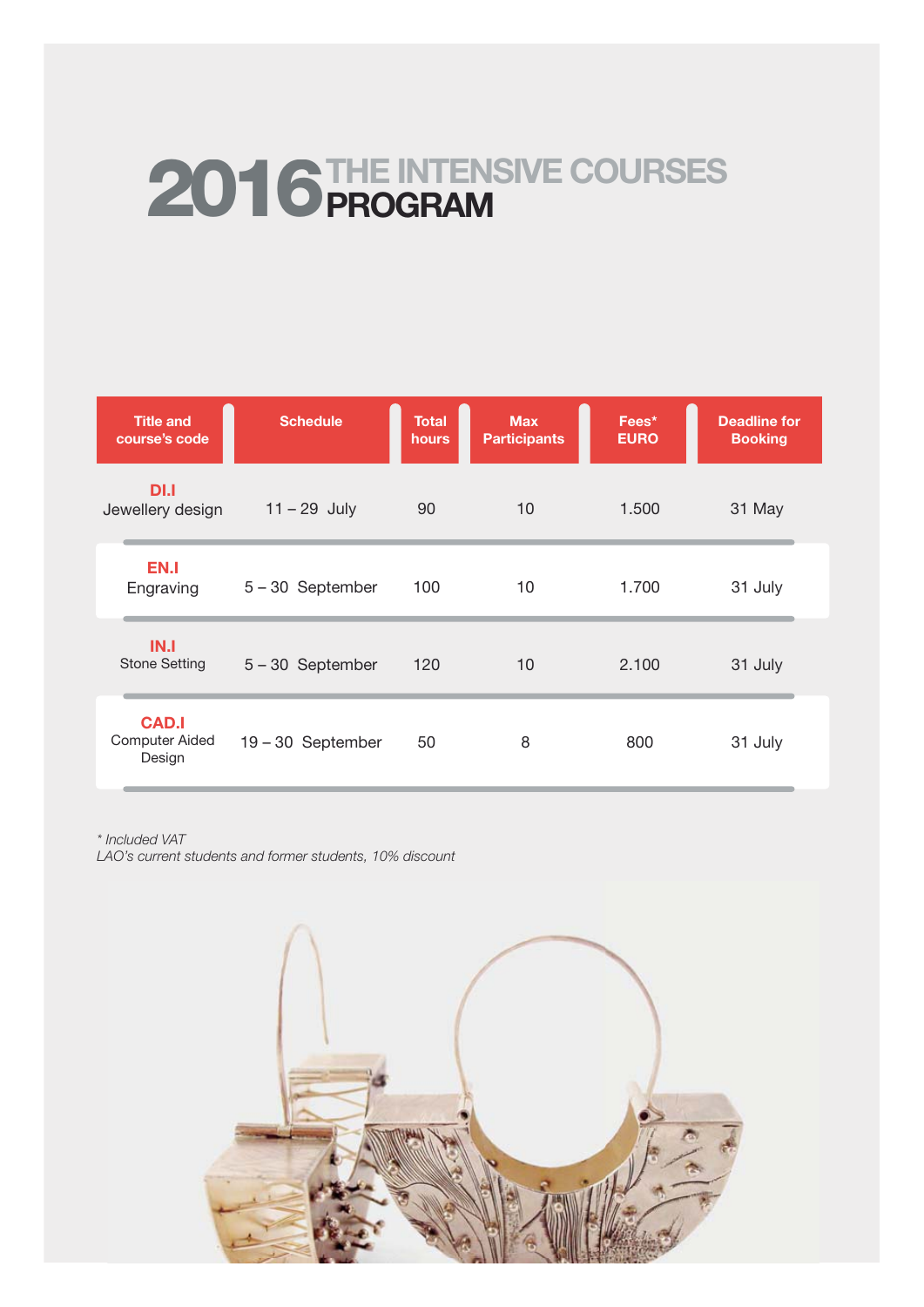## **2016 THE INTENSIVE COURSES PROGRAM**

| <b>Title and</b><br>course's code               | <b>Schedule</b>   | <b>Total</b><br>hours | <b>Max</b><br><b>Participants</b> | Fees*<br><b>EURO</b> | <b>Deadline for</b><br><b>Booking</b> |
|-------------------------------------------------|-------------------|-----------------------|-----------------------------------|----------------------|---------------------------------------|
| DI.I<br>Jewellery design                        | $11 - 29$ July    | 90                    | 10                                | 1.500                | 31 May                                |
| EN.I<br>Engraving                               | 5-30 September    | 100                   | 10                                | 1.700                | 31 July                               |
| IN.I<br><b>Stone Setting</b>                    | 5-30 September    | 120                   | 10                                | 2.100                | 31 July                               |
| <b>CAD.I</b><br><b>Computer Aided</b><br>Design | 19 - 30 September | 50                    | 8                                 | 800                  | 31 July                               |

*\* Included VAT*

*LAO's current students and former students, 10% discount*

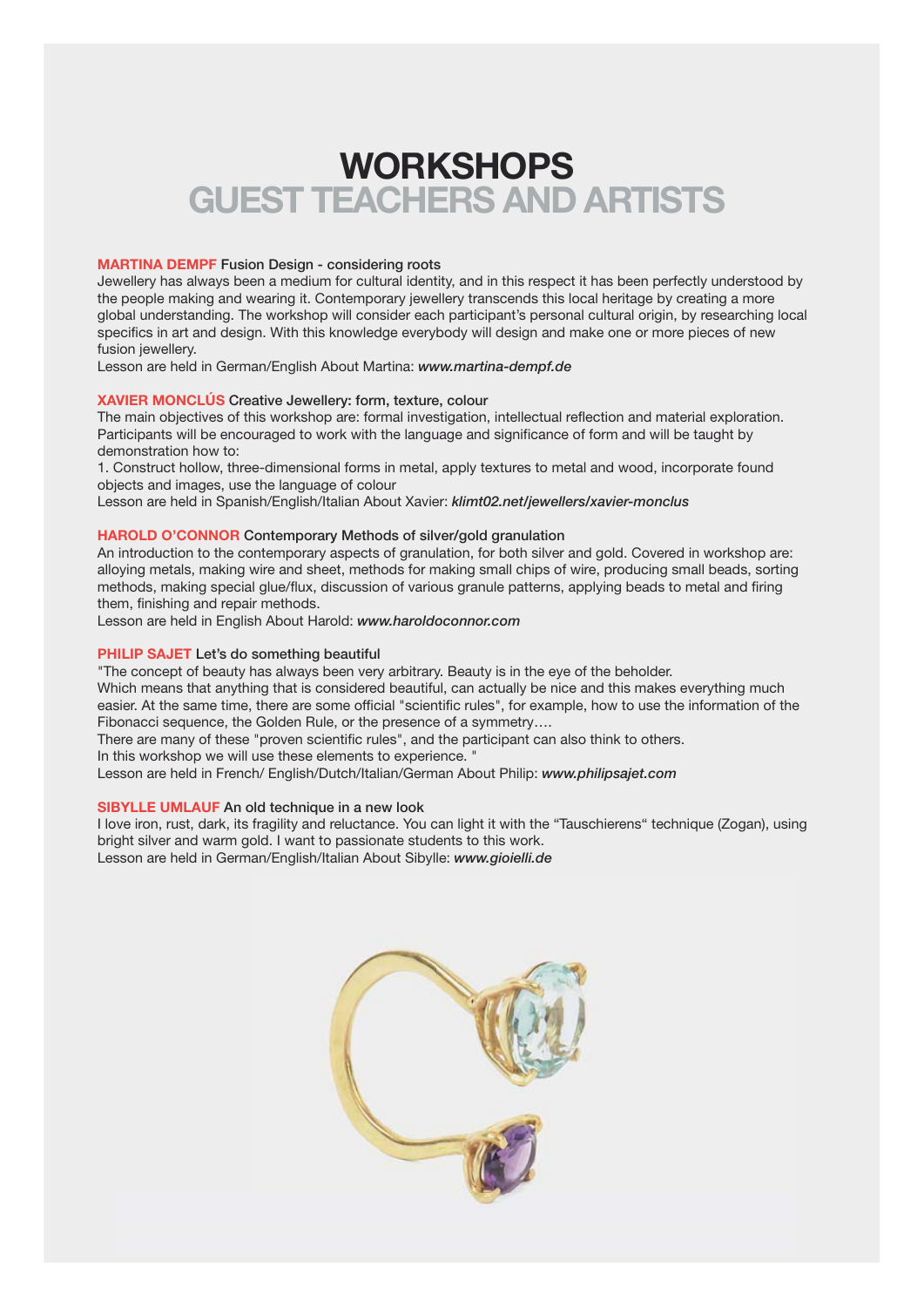## **WORKSHOPS GUEST TEACHERS AND ARTISTS**

#### **MARTINA DEMPF Fusion Design - considering roots**

Jewellery has always been a medium for cultural identity, and in this respect it has been perfectly understood by the people making and wearing it. Contemporary jewellery transcends this local heritage by creating a more global understanding. The workshop will consider each participant's personal cultural origin, by researching local specifics in art and design. With this knowledge everybody will design and make one or more pieces of new fusion jewellery.

Lesson are held in German/English About Martina: *www.martina-dempf.de*

#### **XAVIER MONCLÚS Creative Jewellery: form, texture, colour**

The main objectives of this workshop are: formal investigation, intellectual reflection and material exploration. Participants will be encouraged to work with the language and significance of form and will be taught by demonstration how to:

1. Construct hollow, three-dimensional forms in metal, apply textures to metal and wood, incorporate found objects and images, use the language of colour

Lesson are held in Spanish/English/Italian About Xavier: *klimt02.net/jewellers/xavier-monclus*

#### **HAROLD O'CONNOR Contemporary Methods of silver/gold granulation**

An introduction to the contemporary aspects of granulation, for both silver and gold. Covered in workshop are: alloying metals, making wire and sheet, methods for making small chips of wire, producing small beads, sorting methods, making special glue/flux, discussion of various granule patterns, applying beads to metal and firing them, finishing and repair methods.

Lesson are held in English About Harold: *www.haroldoconnor.com*

#### **PHILIP SAJET Let's do something beautiful**

"The concept of beauty has always been very arbitrary. Beauty is in the eye of the beholder.

Which means that anything that is considered beautiful, can actually be nice and this makes everything much easier. At the same time, there are some official "scientific rules", for example, how to use the information of the Fibonacci sequence, the Golden Rule, or the presence of a symmetry….

There are many of these "proven scientific rules", and the participant can also think to others.

In this workshop we will use these elements to experience. "

Lesson are held in French/ English/Dutch/Italian/German About Philip: *www.philipsajet.com*

#### **SIBYLLE UMLAUF An old technique in a new look**

I love iron, rust, dark, its fragility and reluctance. You can light it with the "Tauschierens" technique (Zogan), using bright silver and warm gold. I want to passionate students to this work. Lesson are held in German/English/Italian About Sibylle: *www.gioielli.de*